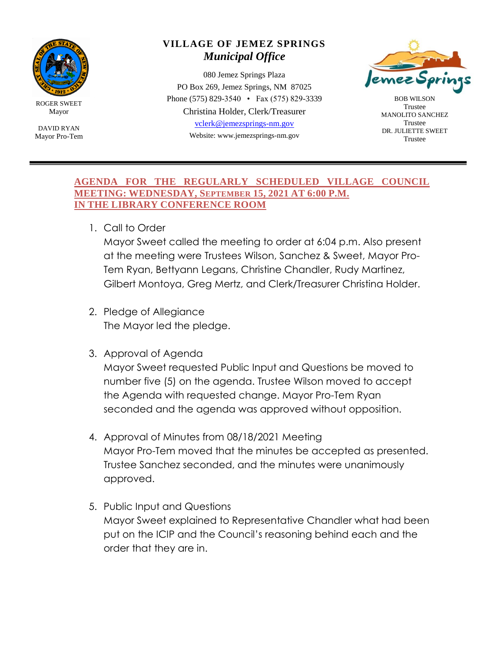

ROGER SWEET Mayor

DAVID RYAN Mayor Pro-Tem

## **VILLAGE OF JEMEZ SPRINGS** *Municipal Office*

080 Jemez Springs Plaza PO Box 269, Jemez Springs, NM 87025 Phone (575) 829-3540 • Fax (575) 829-3339 Christina Holder, Clerk/Treasurer [vclerk@jemezsprings-nm.gov](mailto:vclerk@jemezsprings-nm.gov) Website: www.jemezsprings-nm.gov



BOB WILSON Trustee MANOLITO SANCHEZ Trustee DR. JULIETTE SWEET Trustee

## **AGENDA FOR THE REGULARLY SCHEDULED VILLAGE COUNCIL MEETING: WEDNESDAY, SEPTEMBER 15, 2021 AT 6:00 P.M. IN THE LIBRARY CONFERENCE ROOM**

1. Call to Order

Mayor Sweet called the meeting to order at 6:04 p.m. Also present at the meeting were Trustees Wilson, Sanchez & Sweet, Mayor Pro-Tem Ryan, Bettyann Legans, Christine Chandler, Rudy Martinez, Gilbert Montoya, Greg Mertz, and Clerk/Treasurer Christina Holder.

- 2. Pledge of Allegiance The Mayor led the pledge.
- 3. Approval of Agenda

Mayor Sweet requested Public Input and Questions be moved to number five (5) on the agenda. Trustee Wilson moved to accept the Agenda with requested change. Mayor Pro-Tem Ryan seconded and the agenda was approved without opposition.

- 4. Approval of Minutes from 08/18/2021 Meeting Mayor Pro-Tem moved that the minutes be accepted as presented. Trustee Sanchez seconded, and the minutes were unanimously approved.
- 5. Public Input and Questions Mayor Sweet explained to Representative Chandler what had been put on the ICIP and the Council's reasoning behind each and the order that they are in.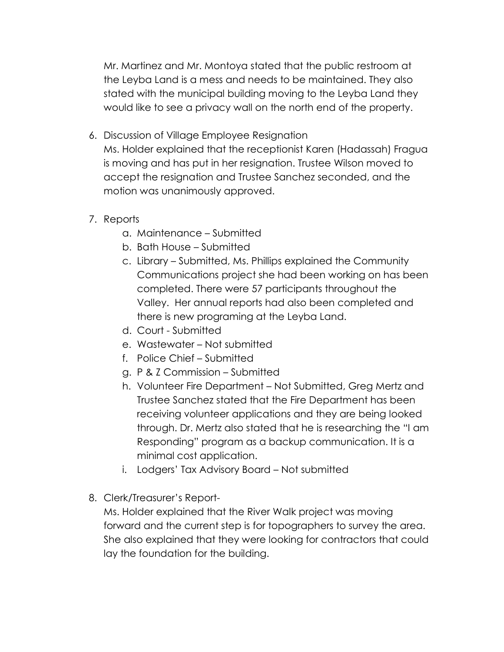Mr. Martinez and Mr. Montoya stated that the public restroom at the Leyba Land is a mess and needs to be maintained. They also stated with the municipal building moving to the Leyba Land they would like to see a privacy wall on the north end of the property.

- 6. Discussion of Village Employee Resignation Ms. Holder explained that the receptionist Karen (Hadassah) Fragua is moving and has put in her resignation. Trustee Wilson moved to accept the resignation and Trustee Sanchez seconded, and the motion was unanimously approved.
- 7. Reports
	- a. Maintenance Submitted
	- b. Bath House Submitted
	- c. Library Submitted, Ms. Phillips explained the Community Communications project she had been working on has been completed. There were 57 participants throughout the Valley. Her annual reports had also been completed and there is new programing at the Leyba Land.
	- d. Court Submitted
	- e. Wastewater Not submitted
	- f. Police Chief Submitted
	- g. P & Z Commission Submitted
	- h. Volunteer Fire Department Not Submitted, Greg Mertz and Trustee Sanchez stated that the Fire Department has been receiving volunteer applications and they are being looked through. Dr. Mertz also stated that he is researching the "I am Responding" program as a backup communication. It is a minimal cost application.
	- i. Lodgers' Tax Advisory Board Not submitted
- 8. Clerk/Treasurer's Report-

Ms. Holder explained that the River Walk project was moving forward and the current step is for topographers to survey the area. She also explained that they were looking for contractors that could lay the foundation for the building.